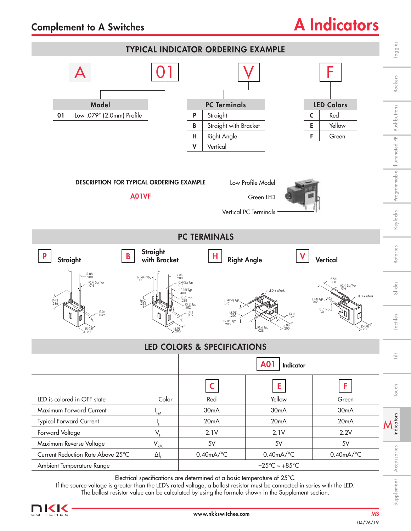## Complement to A Switches

## A Indicators



If the source voltage is greater than the LED's rated voltage, a ballast resistor must be connected in series with the LED.

The ballast resistor value can be calculated by using the formula shown in the Supplement section.